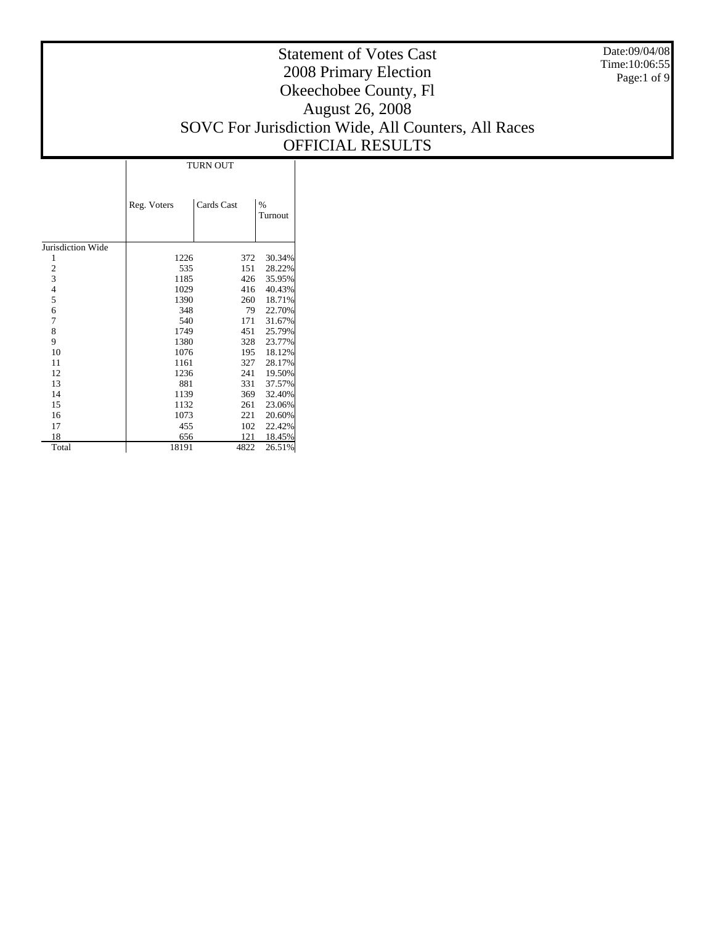Date:09/04/08 Time:10:06:55 Page:1 of 9

|                   | <b>TURN OUT</b> |            |              |  |  |  |  |  |
|-------------------|-----------------|------------|--------------|--|--|--|--|--|
|                   | Reg. Voters     | Cards Cast | %<br>Turnout |  |  |  |  |  |
| Jurisdiction Wide |                 |            |              |  |  |  |  |  |
| 1                 | 1226            | 372        | 30.34%       |  |  |  |  |  |
|                   | 535             | 151        | 28.22%       |  |  |  |  |  |
| $\frac{2}{3}$     | 1185            | 426        | 35.95%       |  |  |  |  |  |
| $\overline{4}$    | 1029            | 416        | 40.43%       |  |  |  |  |  |
| 5                 | 1390            | 260        | 18.71%       |  |  |  |  |  |
| 6                 | 348             | 79         | 22.70%       |  |  |  |  |  |
| 7                 | 540             | 171        | 31.67%       |  |  |  |  |  |
| 8                 | 1749            | 451        | 25.79%       |  |  |  |  |  |
| 9                 | 1380            | 328        | 23.77%       |  |  |  |  |  |
| 10                | 1076            | 195        | 18.12%       |  |  |  |  |  |
| 11                | 1161            | 327        | 28.17%       |  |  |  |  |  |
| 12                | 1236            | 241        | 19.50%       |  |  |  |  |  |
| 13                | 881             | 331        | 37.57%       |  |  |  |  |  |
| 14                | 1139            | 369        | 32.40%       |  |  |  |  |  |
| 15                | 1132            | 261        | 23.06%       |  |  |  |  |  |
| 16                | 1073            | 221        | 20.60%       |  |  |  |  |  |
| 17                | 455             | 102        | 22.42%       |  |  |  |  |  |
| 18                | 656             | 121        | 18.45%       |  |  |  |  |  |
| Total             | 18191           | 4822       | 26.51%       |  |  |  |  |  |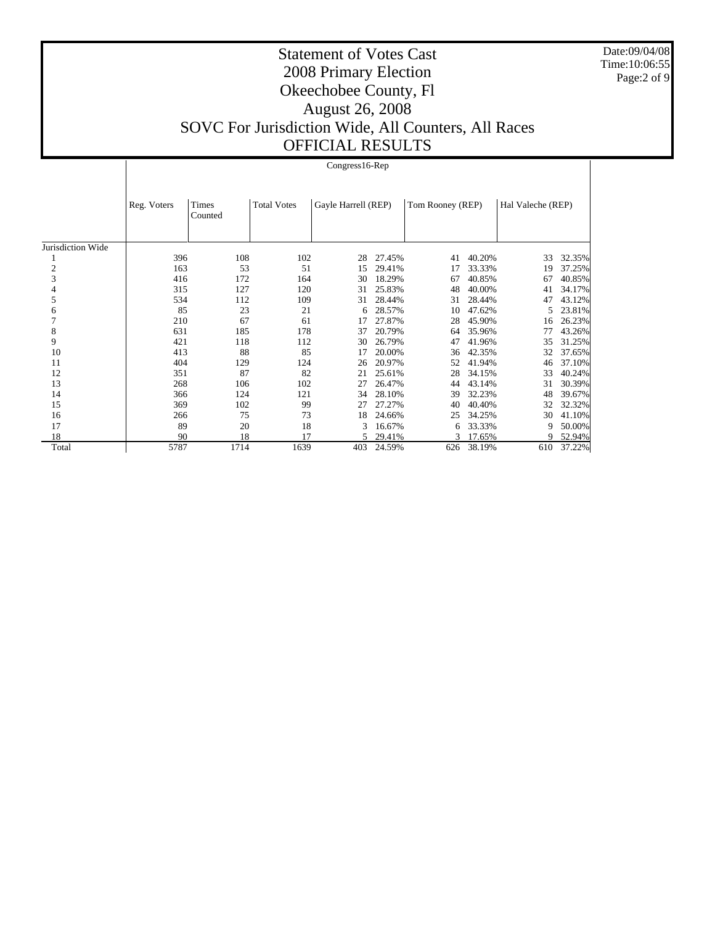Date:09/04/08 Time:10:06:55 Page:2 of 9

|                   |             | $Congress16-Rep$ |                    |                     |        |                  |        |                   |        |  |  |  |  |
|-------------------|-------------|------------------|--------------------|---------------------|--------|------------------|--------|-------------------|--------|--|--|--|--|
|                   | Reg. Voters | Times<br>Counted | <b>Total Votes</b> | Gayle Harrell (REP) |        | Tom Rooney (REP) |        | Hal Valeche (REP) |        |  |  |  |  |
| Jurisdiction Wide |             |                  |                    |                     |        |                  |        |                   |        |  |  |  |  |
|                   | 396         | 108              | 102                | 28                  | 27.45% | 41               | 40.20% | 33                | 32.35% |  |  |  |  |
| $\mathbf{2}$      | 163         | 53               | 51                 | 15                  | 29.41% | 17               | 33.33% | 19                | 37.25% |  |  |  |  |
| 3                 | 416         | 172              | 164                | 30                  | 18.29% | 67               | 40.85% | 67                | 40.85% |  |  |  |  |
|                   | 315         | 127              | 120                | 31                  | 25.83% | 48               | 40.00% | 41                | 34.17% |  |  |  |  |
| 5                 | 534         | 112              | 109                | 31                  | 28.44% | 31               | 28.44% | 47                | 43.12% |  |  |  |  |
| 6                 | 85          | 23               | 21                 | 6                   | 28.57% | 10               | 47.62% | 5                 | 23.81% |  |  |  |  |
| 7                 | 210         | 67               | 61                 | 17                  | 27.87% | 28               | 45.90% | 16                | 26.23% |  |  |  |  |
| 8                 | 631         | 185              | 178                | 37                  | 20.79% | 64               | 35.96% | 77                | 43.26% |  |  |  |  |
| 9                 | 421         | 118              | 112                | 30                  | 26.79% | 47               | 41.96% | 35                | 31.25% |  |  |  |  |
| 10                | 413         | 88               | 85                 | 17                  | 20.00% | 36               | 42.35% | 32                | 37.65% |  |  |  |  |
| 11                | 404         | 129              | 124                | 26                  | 20.97% | 52               | 41.94% | 46                | 37.10% |  |  |  |  |
| 12                | 351         | 87               | 82                 | 21                  | 25.61% | 28               | 34.15% | 33                | 40.24% |  |  |  |  |
| 13                | 268         | 106              | 102                | 27                  | 26.47% | 44               | 43.14% | 31                | 30.39% |  |  |  |  |
| 14                | 366         | 124              | 121                | 34                  | 28.10% | 39               | 32.23% | 48                | 39.67% |  |  |  |  |
| 15                | 369         | 102              | 99                 | 27                  | 27.27% | 40               | 40.40% | 32                | 32.32% |  |  |  |  |
| 16                | 266         | 75               | 73                 | 18                  | 24.66% | 25               | 34.25% | 30                | 41.10% |  |  |  |  |
| 17                | 89          | 20               | 18                 | 3                   | 16.67% | 6                | 33.33% | 9                 | 50.00% |  |  |  |  |
| 18                | 90          | 18               | 17                 |                     | 29.41% | 3                | 17.65% | 9                 | 52.94% |  |  |  |  |
| Total             | 5787        | 1714             | 1639               | 403                 | 24.59% | 626              | 38.19% | 610               | 37.22% |  |  |  |  |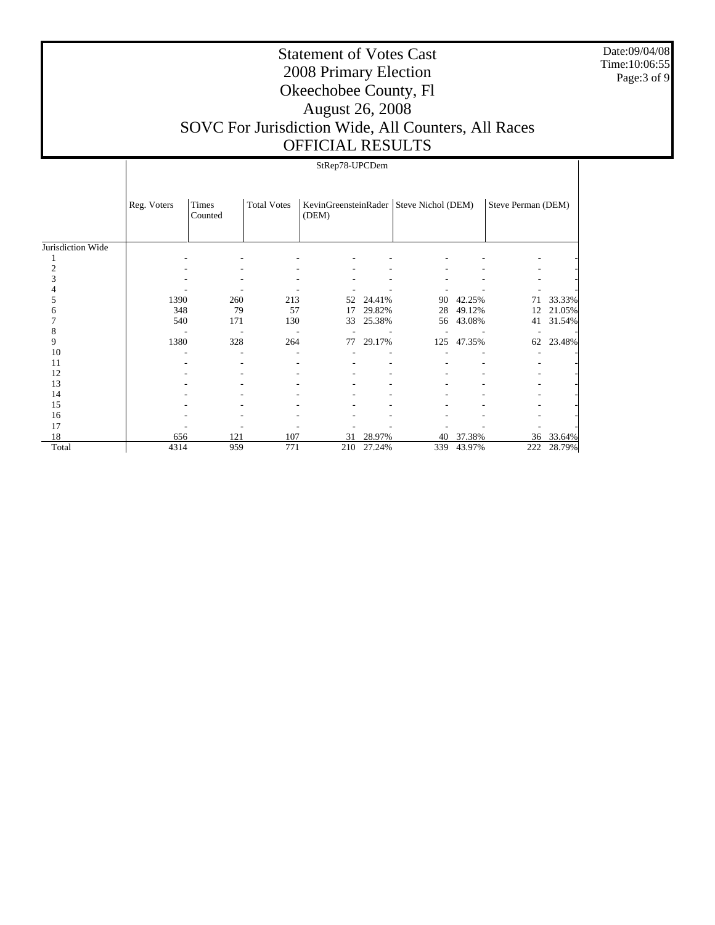Date:09/04/08 Time:10:06:55 Page: 3 of 9

|                   |             | StRep78-UPCDem   |                    |       |        |                                           |        |                    |        |  |  |  |
|-------------------|-------------|------------------|--------------------|-------|--------|-------------------------------------------|--------|--------------------|--------|--|--|--|
|                   | Reg. Voters | Times<br>Counted | <b>Total Votes</b> | (DEM) |        | KevinGreensteinRader   Steve Nichol (DEM) |        | Steve Perman (DEM) |        |  |  |  |
| Jurisdiction Wide |             |                  |                    |       |        |                                           |        |                    |        |  |  |  |
|                   |             |                  |                    |       |        |                                           |        |                    |        |  |  |  |
|                   |             |                  |                    |       |        |                                           |        |                    |        |  |  |  |
|                   |             |                  |                    |       |        |                                           |        |                    |        |  |  |  |
|                   |             |                  |                    |       |        |                                           |        |                    |        |  |  |  |
|                   | 1390        | 260              | 213                | 52    | 24.41% | 90                                        | 42.25% | 71                 | 33.33% |  |  |  |
|                   | 348         | 79               | 57                 | 17    | 29.82% | 28                                        | 49.12% | 12                 | 21.05% |  |  |  |
|                   | 540         | 171              | 130                | 33    | 25.38% | 56                                        | 43.08% | 41                 | 31.54% |  |  |  |
|                   |             |                  |                    |       |        |                                           |        |                    |        |  |  |  |
| 9                 | 1380        | 328              | 264                | 77    | 29.17% | 125                                       | 47.35% | 62                 | 23.48% |  |  |  |
| 10                |             |                  |                    |       |        |                                           |        |                    |        |  |  |  |
| 11                |             |                  |                    |       |        |                                           |        |                    |        |  |  |  |
| 12                |             |                  |                    |       |        |                                           |        |                    |        |  |  |  |
| 13                |             |                  |                    |       |        |                                           |        |                    |        |  |  |  |
| 14                |             |                  |                    |       |        |                                           |        |                    |        |  |  |  |
| 15                |             |                  |                    |       |        |                                           |        |                    |        |  |  |  |
| 16                |             |                  |                    |       |        |                                           |        |                    |        |  |  |  |
| 17                |             |                  |                    |       |        |                                           |        |                    |        |  |  |  |
| 18                | 656         | 121              | 107                | 31    | 28.97% | 40                                        | 37.38% | 36                 | 33.64% |  |  |  |
| Total             | 4314        | 959              | 771                | 210   | 27.24% | 339                                       | 43.97% | 222                | 28.79% |  |  |  |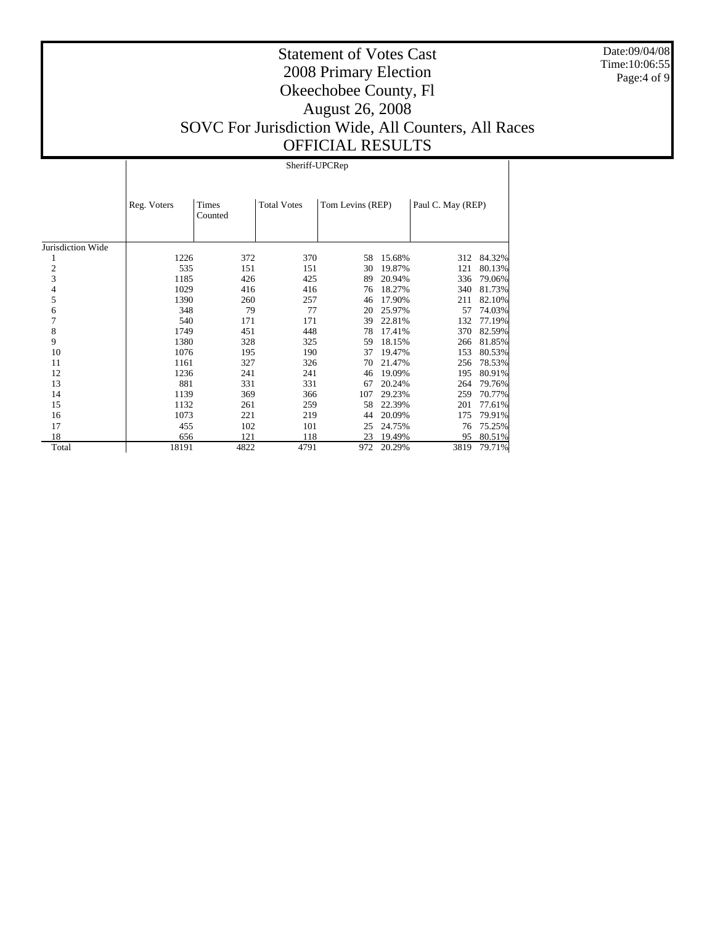Date:09/04/08 Time:10:06:55 Page:4 of 9

# Statement of Votes Cast 2008 Primary Election Okeechobee County, Fl August 26, 2008 SOVC For Jurisdiction Wide, All Counters, All Races OFFICIAL RESULTS

Sheriff-UPCRep

|                   | Reg. Voters | Times<br>Counted | <b>Total Votes</b> | Tom Levins (REP) |        | Paul C. May (REP) |        |
|-------------------|-------------|------------------|--------------------|------------------|--------|-------------------|--------|
| Jurisdiction Wide |             |                  |                    |                  |        |                   |        |
|                   | 1226        | 372              | 370                | 58               | 15.68% | 312               | 84.32% |
| $\overline{c}$    | 535         | 151              | 151                | 30               | 19.87% | 121               | 80.13% |
| 3                 | 1185        | 426              | 425                | 89               | 20.94% | 336               | 79.06% |
| 4                 | 1029        | 416              | 416                | 76               | 18.27% | 340               | 81.73% |
| 5                 | 1390        | 260              | 257                | 46               | 17.90% | 211               | 82.10% |
| 6                 | 348         | 79               | 77                 | 20               | 25.97% | 57                | 74.03% |
| 7                 | 540         | 171              | 171                | 39               | 22.81% | 132               | 77.19% |
| 8                 | 1749        | 451              | 448                | 78               | 17.41% | 370               | 82.59% |
| 9                 | 1380        | 328              | 325                | 59               | 18.15% | 266               | 81.85% |
| 10                | 1076        | 195              | 190                | 37               | 19.47% | 153               | 80.53% |
| 11                | 1161        | 327              | 326                | 70               | 21.47% | 256               | 78.53% |
| 12                | 1236        | 241              | 241                | 46               | 19.09% | 195               | 80.91% |
| 13                | 881         | 331              | 331                | 67               | 20.24% | 264               | 79.76% |
| 14                | 1139        | 369              | 366                | 107              | 29.23% | 259               | 70.77% |
| 15                | 1132        | 261              | 259                | 58               | 22.39% | 201               | 77.61% |
| 16                | 1073        | 221              | 219                | 44               | 20.09% | 175               | 79.91% |
| 17                | 455         | 102              | 101                | 25               | 24.75% | 76                | 75.25% |
| 18                | 656         | 121              | 118                | 23               | 19.49% | 95                | 80.51% |
| Total             | 18191       | 4822             | 4791               | 972              | 20.29% | 3819              | 79.71% |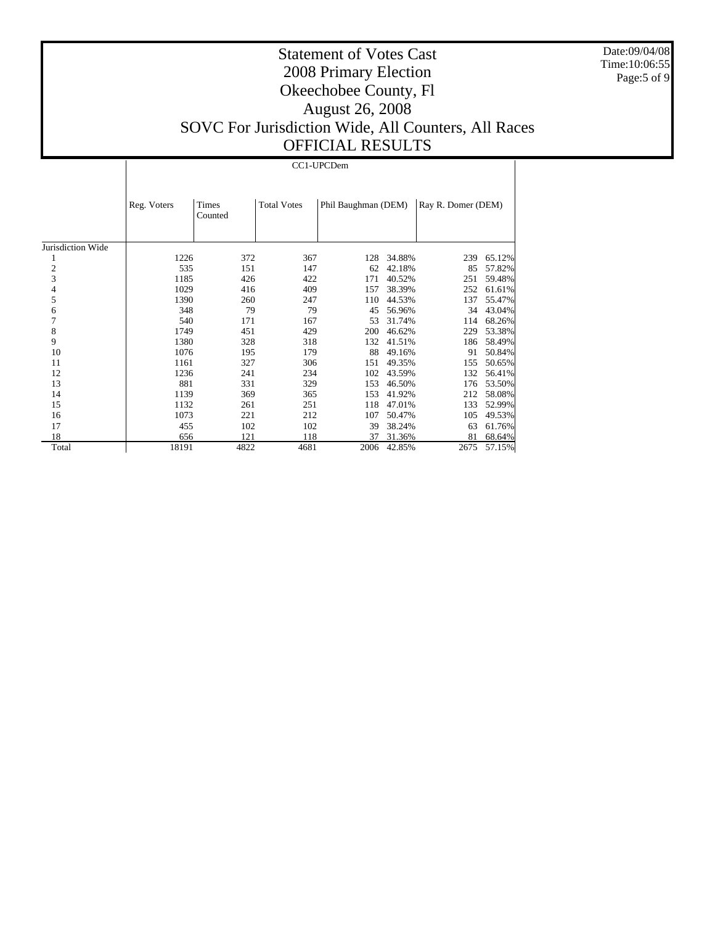Date:09/04/08 Time:10:06:55 Page:5 of 9

# Statement of Votes Cast 2008 Primary Election Okeechobee County, Fl August 26, 2008 SOVC For Jurisdiction Wide, All Counters, All Races OFFICIAL RESULTS

#### CC1-UPCDem

|                   | Reg. Voters | Times   | <b>Total Votes</b> | Phil Baughman (DEM) |        | Ray R. Domer (DEM) |        |
|-------------------|-------------|---------|--------------------|---------------------|--------|--------------------|--------|
|                   |             | Counted |                    |                     |        |                    |        |
|                   |             |         |                    |                     |        |                    |        |
|                   |             |         |                    |                     |        |                    |        |
| Jurisdiction Wide |             |         |                    |                     |        |                    |        |
| 1                 | 1226        | 372     | 367                | 128                 | 34.88% | 239                | 65.12% |
| $\mathbf{2}$      | 535         | 151     | 147                | 62                  | 42.18% | 85                 | 57.82% |
| 3                 | 1185        | 426     | 422                | 171                 | 40.52% | 251                | 59.48% |
| 4                 | 1029        | 416     | 409                | 157                 | 38.39% | 252                | 61.61% |
| 5                 | 1390        | 260     | 247                | 110                 | 44.53% | 137                | 55.47% |
| 6                 | 348         | 79      | 79                 | 45                  | 56.96% | 34                 | 43.04% |
| 7                 | 540         | 171     | 167                | 53                  | 31.74% | 114                | 68.26% |
| 8                 | 1749        | 451     | 429                | 200                 | 46.62% | 229                | 53.38% |
| 9                 | 1380        | 328     | 318                | 132                 | 41.51% | 186                | 58.49% |
| 10                | 1076        | 195     | 179                | 88                  | 49.16% | 91                 | 50.84% |
| 11                | 1161        | 327     | 306                | 151                 | 49.35% | 155                | 50.65% |
| 12                | 1236        | 241     | 234                | 102                 | 43.59% | 132                | 56.41% |
| 13                | 881         | 331     | 329                | 153                 | 46.50% | 176                | 53.50% |
| 14                | 1139        | 369     | 365                | 153                 | 41.92% | 212                | 58.08% |
| 15                | 1132        | 261     | 251                | 118                 | 47.01% | 133                | 52.99% |
| 16                | 1073        | 221     | 212                | 107                 | 50.47% | 105                | 49.53% |
| 17                | 455         | 102     | 102                | 39                  | 38.24% | 63                 | 61.76% |
| 18                | 656         | 121     | 118                | 37                  | 31.36% | 81                 | 68.64% |
| Total             | 18191       | 4822    | 4681               | 2006                | 42.85% | 2675               | 57.15% |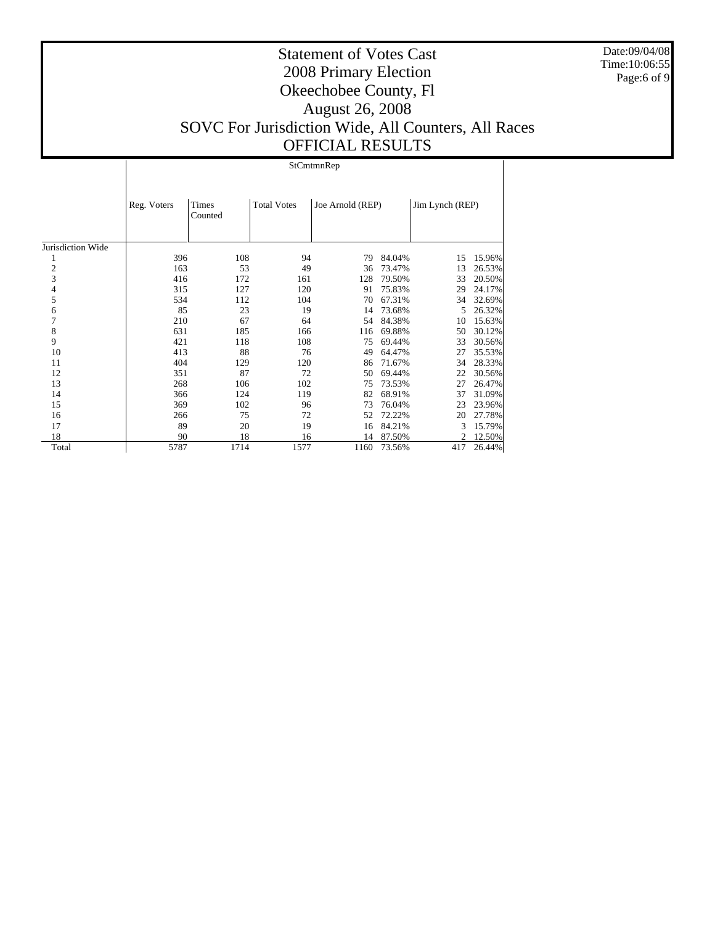Date:09/04/08 Time:10:06:55 Page:6 of 9

# Statement of Votes Cast 2008 Primary Election Okeechobee County, Fl August 26, 2008 SOVC For Jurisdiction Wide, All Counters, All Races OFFICIAL RESULTS

StCmtmnRep

|                   | Reg. Voters | Times<br>Counted | <b>Total Votes</b> | Joe Arnold (REP) |        | Jim Lynch (REP) |        |
|-------------------|-------------|------------------|--------------------|------------------|--------|-----------------|--------|
| Jurisdiction Wide |             |                  |                    |                  |        |                 |        |
| 1                 | 396         | 108              | 94                 | 79               | 84.04% | 15              | 15.96% |
| $\boldsymbol{2}$  | 163         | 53               | 49                 | 36               | 73.47% | 13              | 26.53% |
| 3                 | 416         | 172              | 161                | 128              | 79.50% | 33              | 20.50% |
| 4                 | 315         | 127              | 120                | 91               | 75.83% | 29              | 24.17% |
| 5                 | 534         | 112              | 104                | 70               | 67.31% | 34              | 32.69% |
| 6                 | 85          | 23               | 19                 | 14               | 73.68% | 5               | 26.32% |
| $\boldsymbol{7}$  | 210         | 67               | 64                 | 54               | 84.38% | 10              | 15.63% |
| 8                 | 631         | 185              | 166                | 116              | 69.88% | 50              | 30.12% |
| 9                 | 421         | 118              | 108                | 75               | 69.44% | 33              | 30.56% |
| 10                | 413         | 88               | 76                 | 49               | 64.47% | 27              | 35.53% |
| 11                | 404         | 129              | 120                | 86               | 71.67% | 34              | 28.33% |
| 12                | 351         | 87               | 72                 | 50               | 69.44% | 22              | 30.56% |
| 13                | 268         | 106              | 102                | 75               | 73.53% | 27              | 26.47% |
| 14                | 366         | 124              | 119                | 82               | 68.91% | 37              | 31.09% |
| 15                | 369         | 102              | 96                 | 73               | 76.04% | 23              | 23.96% |
| 16                | 266         | 75               | 72                 | 52               | 72.22% | 20              | 27.78% |
| 17                | 89          | 20               | 19                 | 16               | 84.21% | 3               | 15.79% |
| 18                | 90          | 18               | 16                 | 14               | 87.50% |                 | 12.50% |
| Total             | 5787        | 1714             | 1577               | 1160             | 73.56% | 417             | 26.44% |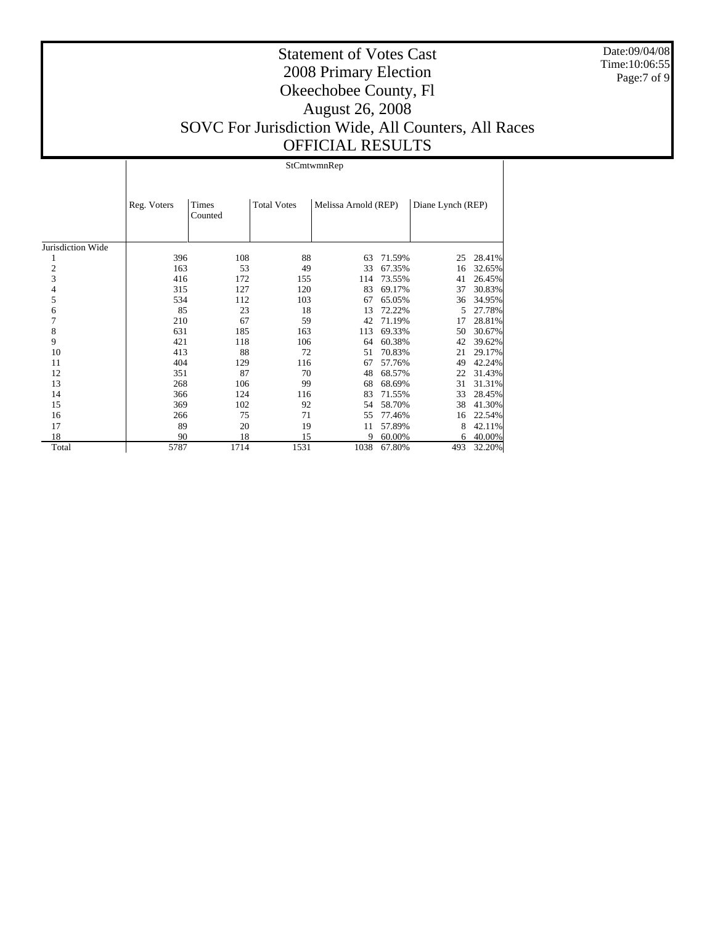Date:09/04/08 Time:10:06:55 Page:7 of 9

# Statement of Votes Cast 2008 Primary Election Okeechobee County, Fl August 26, 2008 SOVC For Jurisdiction Wide, All Counters, All Races OFFICIAL RESULTS

StCmtwmnRep

|                   | Reg. Voters | Times<br>Counted | <b>Total Votes</b> | Melissa Arnold (REP) |        | Diane Lynch (REP) |        |
|-------------------|-------------|------------------|--------------------|----------------------|--------|-------------------|--------|
|                   |             |                  |                    |                      |        |                   |        |
| Jurisdiction Wide |             |                  |                    |                      |        |                   |        |
| 1                 | 396         | 108              | 88                 | 63                   | 71.59% | 25                | 28.41% |
| $\overline{c}$    | 163         | 53               | 49                 | 33                   | 67.35% | 16                | 32.65% |
| 3                 | 416         | 172              | 155                | 114                  | 73.55% | 41                | 26.45% |
| 4                 | 315         | 127              | 120                | 83                   | 69.17% | 37                | 30.83% |
| 5                 | 534         | 112              | 103                | 67                   | 65.05% | 36                | 34.95% |
| 6                 | 85          | 23               | 18                 | 13                   | 72.22% | 5                 | 27.78% |
| 7                 | 210         | 67               | 59                 | 42                   | 71.19% | 17                | 28.81% |
| 8                 | 631         | 185              | 163                | 113                  | 69.33% | 50                | 30.67% |
| 9                 | 421         | 118              | 106                | 64                   | 60.38% | 42                | 39.62% |
| 10                | 413         | 88               | 72                 | 51                   | 70.83% | 21                | 29.17% |
| 11                | 404         | 129              | 116                | 67                   | 57.76% | 49                | 42.24% |
| 12                | 351         | 87               | 70                 | 48                   | 68.57% | 22                | 31.43% |
| 13                | 268         | 106              | 99                 | 68                   | 68.69% | 31                | 31.31% |
| 14                | 366         | 124              | 116                | 83                   | 71.55% | 33                | 28.45% |
| 15                | 369         | 102              | 92                 | 54                   | 58.70% | 38                | 41.30% |
| 16                | 266         | 75               | 71                 | 55                   | 77.46% | 16                | 22.54% |
| 17                | 89          | 20               | 19                 | 11                   | 57.89% | 8                 | 42.11% |
| 18                | 90          | 18               | 15                 | 9                    | 60.00% | 6                 | 40.00% |
| Total             | 5787        | 1714             | 1531               | 1038                 | 67.80% | 493               | 32.20% |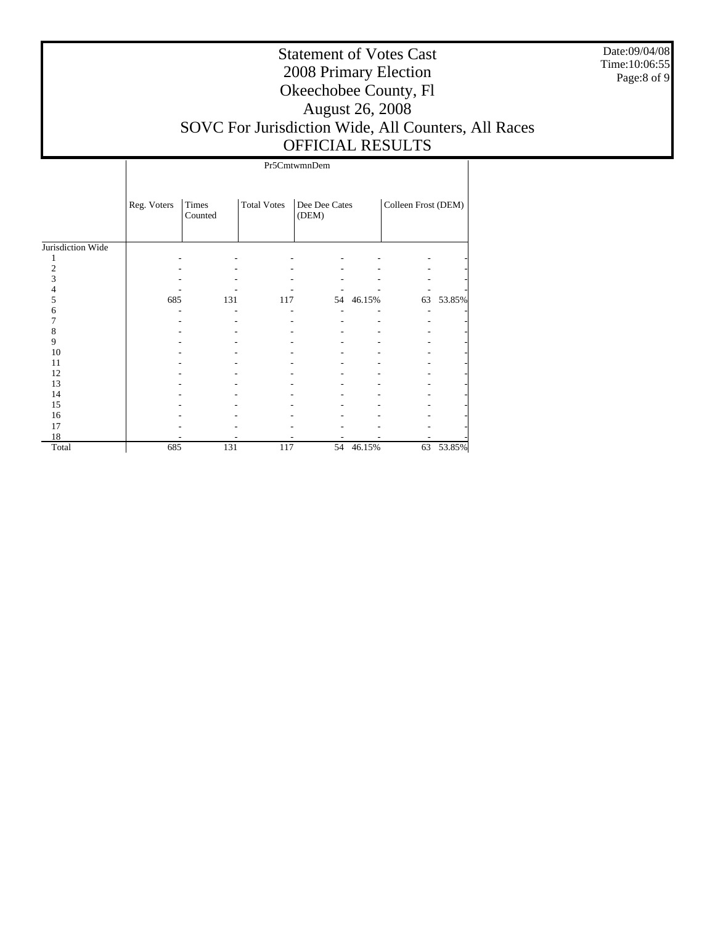Date:09/04/08 Time:10:06:55 Page:8 of 9

|                   | Pr5CmtwmnDem |                  |                    |                        |           |                     |        |  |  |  |
|-------------------|--------------|------------------|--------------------|------------------------|-----------|---------------------|--------|--|--|--|
|                   | Reg. Voters  | Times<br>Counted | <b>Total Votes</b> | Dee Dee Cates<br>(DEM) |           | Colleen Frost (DEM) |        |  |  |  |
| Jurisdiction Wide |              |                  |                    |                        |           |                     |        |  |  |  |
|                   |              |                  |                    |                        |           |                     |        |  |  |  |
| $\overline{c}$    |              |                  |                    |                        |           |                     |        |  |  |  |
| 3                 |              |                  |                    |                        |           |                     |        |  |  |  |
|                   |              |                  |                    |                        |           |                     |        |  |  |  |
| 5                 | 685          | 131              | 117                |                        | 54 46.15% | 63                  | 53.85% |  |  |  |
| 6                 |              |                  |                    |                        |           |                     |        |  |  |  |
|                   |              |                  |                    |                        |           |                     |        |  |  |  |
| 8                 |              |                  |                    |                        |           |                     |        |  |  |  |
| 9                 |              |                  |                    |                        |           |                     |        |  |  |  |
| 10                |              |                  |                    |                        |           |                     |        |  |  |  |
| 11                |              |                  |                    |                        |           |                     |        |  |  |  |
| 12                |              |                  |                    |                        |           |                     |        |  |  |  |
| 13                |              |                  |                    |                        |           |                     |        |  |  |  |
| 14                |              |                  |                    |                        |           |                     |        |  |  |  |
| 15                |              |                  |                    |                        |           |                     |        |  |  |  |
| 16                |              |                  |                    |                        |           |                     |        |  |  |  |
| 17                |              |                  |                    |                        |           |                     |        |  |  |  |
| 18                |              |                  |                    |                        |           |                     |        |  |  |  |
| Total             | 685          | 131              | 117                | 54                     | 46.15%    | 63                  | 53.85% |  |  |  |